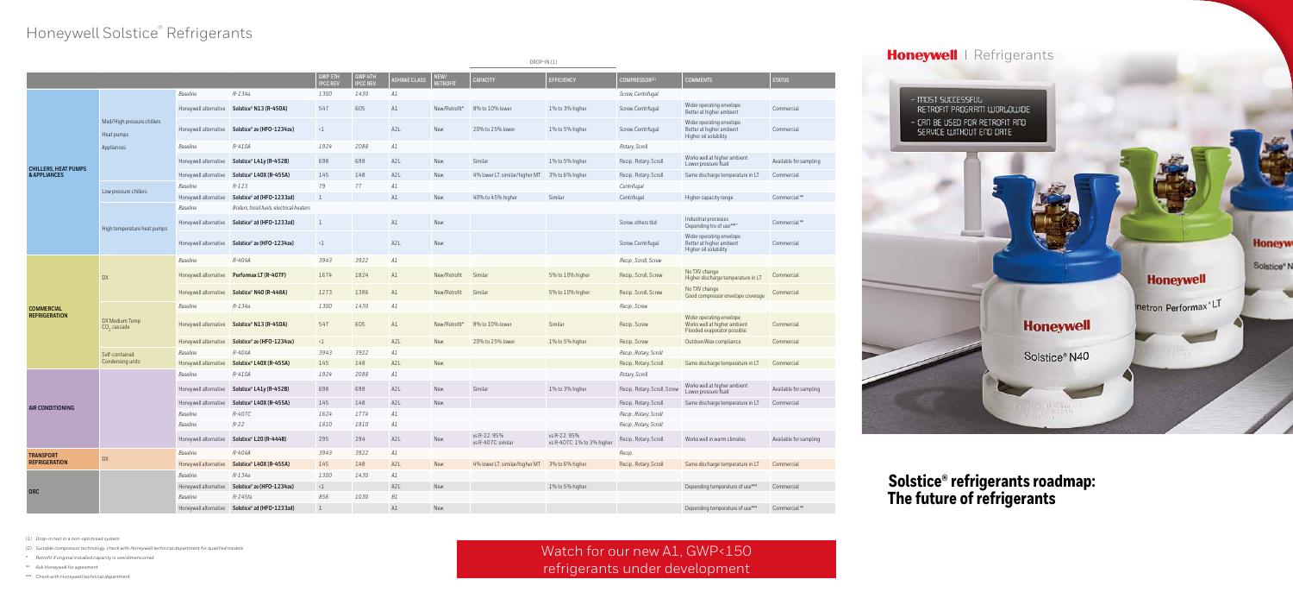# Honeywell Solstice<sup>®</sup> Refrigerants

|                                             |                                                        |                       |                                                 |                                   |                            |                     |                         | $DROP-IN (1)$                                  |                                            |                               |                                                                                         |                        |
|---------------------------------------------|--------------------------------------------------------|-----------------------|-------------------------------------------------|-----------------------------------|----------------------------|---------------------|-------------------------|------------------------------------------------|--------------------------------------------|-------------------------------|-----------------------------------------------------------------------------------------|------------------------|
|                                             |                                                        |                       |                                                 | <b>GWP 5TH</b><br><b>IPCC REV</b> | GWP 4TH<br><b>IPCC REV</b> | <b>ASHRAE CLASS</b> | NEW/<br><b>RETROFIT</b> | <b>CAPACITY</b>                                | EFFICIENCY                                 | COMPRESSOR <sup>(2)</sup>     | <b>COMMENTS</b>                                                                         | <b>STATUS</b>          |
| <b>CHILLERS, HEAT PUMPS</b><br>& APPLIANCES | Med/High pressure chillers<br>Heat pumps<br>Appliances | Baseline              | $R-134a$                                        | 1300                              | 1430                       | A1                  |                         |                                                |                                            | Screw, Centrifugal            |                                                                                         |                        |
|                                             |                                                        |                       | Honeywell alternative Solstice® N13 (R-450A)    | 547                               | 605                        | A1                  | New/Retrofit*           | 8% to 10% lower                                | 1% to 3% higher                            | Screw, Centrifugal            | Wider operating envelope<br>Better at higher ambient                                    | Commercial             |
|                                             |                                                        | Honeywell alternative | Solstice® ze (HFO-1234ze)                       | $\langle 1 \rangle$               |                            | A <sub>2</sub> L    | New                     | 20% to 25% lower                               | 1% to 5% higher                            | Screw, Centrifugal            | Wider operating envelope<br>Better at higher ambient<br>Higher oil solubility           | Commercial             |
|                                             |                                                        | Baseline              | R-410A                                          | 1924                              | 2088                       | A1                  |                         |                                                |                                            | Rotary, Scroll                |                                                                                         |                        |
|                                             |                                                        | Honeywell alternative | Solstice® L41y (R-452B)                         | 698                               | 698                        | A <sub>2</sub> L    | New                     | Similar                                        | 1% to 5% higher                            | Recip., Rotary, Scroll        | Works well at higher ambient<br>Lower pressure fluid                                    | Available for sampling |
|                                             |                                                        | Honeywell alternative | Solstice® L40X (R-455A)                         | 145                               | 148                        | A <sub>2</sub> L    | New                     | 4% lower LT; similar/higher MT                 | 3% to 6% higher                            | Recip., Rotary, Scroll        | Same discharge temperature in LT                                                        | Commercial             |
|                                             | Low pressure chillers                                  | Baseline              | $R - 123$                                       | 79                                | 77                         | A1                  |                         |                                                |                                            | Centrifugal                   |                                                                                         |                        |
|                                             |                                                        | Honeywell alternative | Solstice® zd (HFO-1233zd)                       | $\perp$                           |                            | A1                  | New                     | 40% to 45% higher                              | Similar                                    | Centrifugal                   | Higher capacity range                                                                   | Commercial**           |
|                                             | High temperature heat pumps                            | Baseline              | Boilers, fossil fuels, electrical heaters       |                                   |                            |                     |                         |                                                |                                            |                               |                                                                                         |                        |
|                                             |                                                        |                       | Honeywell alternative Solstice® zd (HFO-1233zd) | $\overline{1}$                    |                            | A1                  | New                     |                                                |                                            | Screw, others tbd             | Industrial processes<br>Depending tre of use***"                                        | Commercial**           |
|                                             |                                                        | Honeywell alternative | Solstice® ze (HFO-1234ze)                       | $\langle 1 \rangle$               |                            | A2L                 | New                     |                                                |                                            | Screw, Centrifugal            | Wider operating envelope<br>Better at higher ambient<br>Higher oil solubility           | Commercial             |
| <b>COMMERCIAL</b><br><b>REFRIGERATION</b>   | <b>DX</b>                                              | Baseline              | R-404A                                          | 3943                              | 3922                       | A1                  |                         |                                                |                                            | Recip., Scroll, Screw         |                                                                                         |                        |
|                                             |                                                        | Honeywell alternative | Performax LT (R-407F)                           | 1674                              | 1824                       | A1                  | New/Retrofit            | Similar                                        | 5% to 10% higher                           | Recip., Scroll, Screw         | No TXV change<br>Higher discharge temperature in LT                                     | Commercial             |
|                                             |                                                        | Honeywell alternative | Solstice® N40 (R-448A)                          | 1273                              | 1386                       | A1                  | New/Retrofit            | Similar                                        | 5% to 10% higher                           | Recip., Scroll, Screw         | No TXV change<br>Good compressor envelope coverage                                      | Commercial             |
|                                             | DX Medium Temp<br>$CO2$ cascade                        | Baseline              | $R-134a$                                        | 1300                              | 1430                       | A1                  |                         |                                                |                                            | Recip., Screw                 |                                                                                         |                        |
|                                             |                                                        | Honeywell alternative | Solstice® N13 (R-450A)                          | 547                               | 605                        | A1                  | New/Retrofit*           | 8% to 10% lower                                | Similar                                    | Recip., Screw                 | Wider operating envelope<br>Works well at higher ambient<br>Flooded evaporator possible | Commercial             |
|                                             |                                                        | Honeywell alternative | Solstice® ze (HFO-1234ze)                       | $\langle 1 \rangle$               |                            | A <sub>2</sub> L    | New                     | 20% to 25% lower                               | 1% to 5% higher                            | Recip., Screw                 | Outdoor/Atex compliance                                                                 | Commercial             |
|                                             | Self-contained<br>Condensing units                     | Baseline              | R-404A                                          | 3943                              | 3922                       | A1                  |                         |                                                |                                            | Recip., Rotary, Scroll        |                                                                                         |                        |
|                                             |                                                        | Honeywell alternative | Solstice® L40X (R-455A)                         | 145                               | 148                        | A <sub>2</sub> L    | New                     |                                                |                                            | Recip., Rotary, Scroll        | Same discharge temperature in LT                                                        | Commercial             |
|                                             |                                                        | Baseline              | R-410A                                          | 1924                              | 2088                       | A1                  |                         |                                                |                                            | Rotary, Scroll                |                                                                                         |                        |
|                                             |                                                        | Honeywell alternative | Solstice® L41y (R-452B)                         | 698                               | 698                        | A2L                 | New                     | Similar                                        | 1% to 3% higher                            | Recip., Rotary, Scroll, Screw | Works well at higher ambient<br>Lower pressure fluid                                    | Available for sampling |
| AIR CONDITIONING                            |                                                        | Honeywell alternative | Solstice® L40X (R-455A)                         | 145                               | 148                        | A2L                 | New                     |                                                |                                            | Recip., Rotary, Scroll        | Same discharge temperature in LT                                                        | Commercial             |
|                                             |                                                        | Baseline              | R-407C                                          | 1624                              | 1774                       | A1                  |                         |                                                |                                            | Recip., Rotary, Scroll        |                                                                                         |                        |
|                                             |                                                        | Baseline              | $R-22$                                          | 1810                              | 1810                       | A1                  |                         |                                                |                                            | Recip., Rotary, Scroll        |                                                                                         |                        |
|                                             |                                                        | Honeywell alternative | Solstice® L20 (R-444B)                          | 295                               | 294                        | A2L                 | New                     | vs R-22: 95%<br>vs R-407C: similar             | vs R-22: 95%<br>vs R-407C: 1% to 3% higher | Recip., Rotary, Scroll        | Works well in warm climates                                                             | Available for sampling |
| <b>TRANSPORT</b><br><b>REFRIGERATION</b>    | DX                                                     | Baseline              | R-404A                                          | 3943                              | 3922                       | A1                  |                         |                                                |                                            | Recip.                        |                                                                                         |                        |
|                                             |                                                        | Honeywell alternative | Solstice® L40X (R-455A)                         | 145                               | 148                        | A <sub>2</sub> L    | New                     | 4% lower LT; similar/higher MT 3% to 6% higher |                                            | Recip., Rotary, Scroll        | Same discharge temperature in LT                                                        | Commercial             |
| ORC                                         |                                                        | Baseline              | $R-134a$                                        | 1300                              | 1430                       | A1                  |                         |                                                |                                            |                               |                                                                                         |                        |
|                                             |                                                        | Honeywell alternative | Solstice® ze (HFO-1234ze)                       | $\langle 1 \rangle$               |                            | A2L                 | New                     |                                                | 1% to 5% higher                            |                               | Depending temperature of use***                                                         | Commercial             |
|                                             |                                                        | Baseline              | R-245fa                                         | 858                               | 1030                       | B1                  |                         |                                                |                                            |                               |                                                                                         |                        |
|                                             |                                                        |                       | Honeywell alternative Solstice® zd (HFO-1233zd) | $\perp$                           |                            | A1                  | New                     |                                                |                                            |                               | Depending temperature of use***                                                         | Commercial**           |

## Watch for our new A1, GWP<150 refrigerants under development

## Honeywell | Refrigerants

- MOST SUCCESSFUL<br>RETROFIT PROGRAM WORLDWIDE



*(1) Drop-in test in a non-optimised system*

*(2) Suitable compressor technology, check with Honeywell technical department for qualified models*

*\* Retrofit if original installed capacity is overdimensioned*

*\*\* Ask Honeywell for agreement*

*\*\*\* Check with Honeywell technical department*

## **Solstice® refrigerants roadmap: The future of refrigerants**